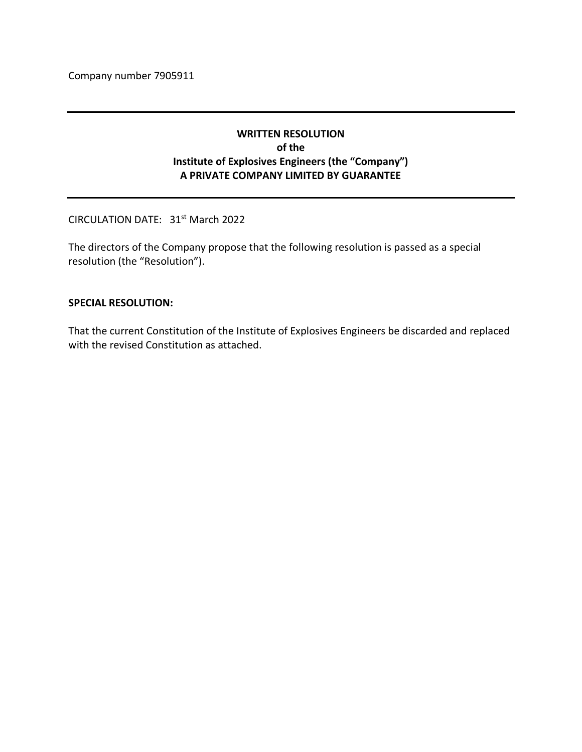Company number 7905911

# **WRITTEN RESOLUTION of the Institute of Explosives Engineers (the "Company") A PRIVATE COMPANY LIMITED BY GUARANTEE**

CIRCULATION DATE: 31st March 2022

The directors of the Company propose that the following resolution is passed as a special resolution (the "Resolution").

#### **SPECIAL RESOLUTION:**

That the current Constitution of the Institute of Explosives Engineers be discarded and replaced with the revised Constitution as attached.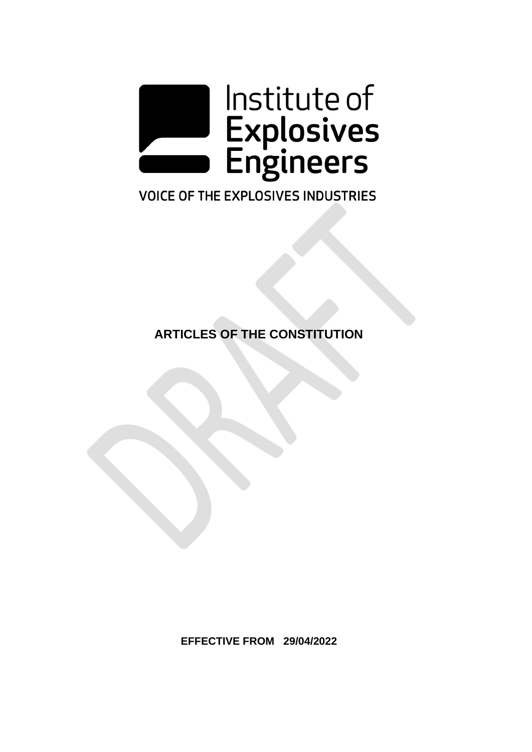

# **VOICE OF THE EXPLOSIVES INDUSTRIES**

**ARTICLES OF THE CONSTITUTION**

**EFFECTIVE FROM 29/04/2022**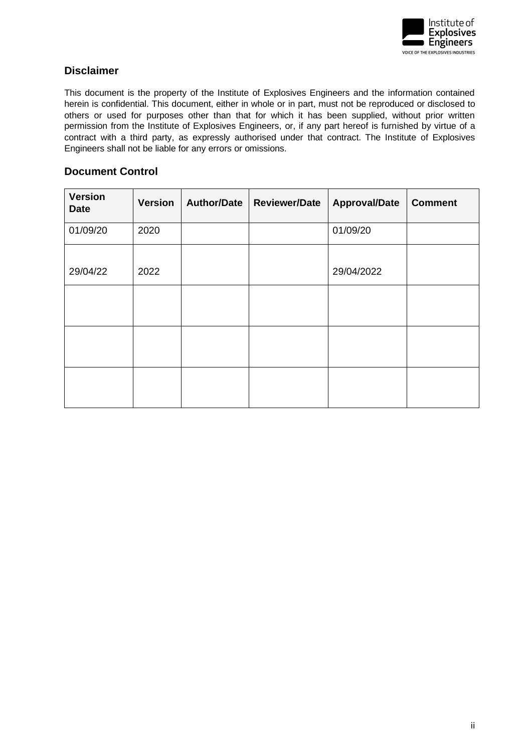

# <span id="page-2-0"></span>**Disclaimer**

This document is the property of the Institute of Explosives Engineers and the information contained herein is confidential. This document, either in whole or in part, must not be reproduced or disclosed to others or used for purposes other than that for which it has been supplied, without prior written permission from the Institute of Explosives Engineers, or, if any part hereof is furnished by virtue of a contract with a third party, as expressly authorised under that contract. The Institute of Explosives Engineers shall not be liable for any errors or omissions.

# <span id="page-2-1"></span>**Document Control**

| <b>Version</b><br><b>Date</b> | <b>Version</b> | <b>Author/Date</b> | <b>Reviewer/Date</b> | <b>Approval/Date</b> | <b>Comment</b> |
|-------------------------------|----------------|--------------------|----------------------|----------------------|----------------|
| 01/09/20                      | 2020           |                    |                      | 01/09/20             |                |
| 29/04/22                      | 2022           |                    |                      | 29/04/2022           |                |
|                               |                |                    |                      |                      |                |
|                               |                |                    |                      |                      |                |
|                               |                |                    |                      |                      |                |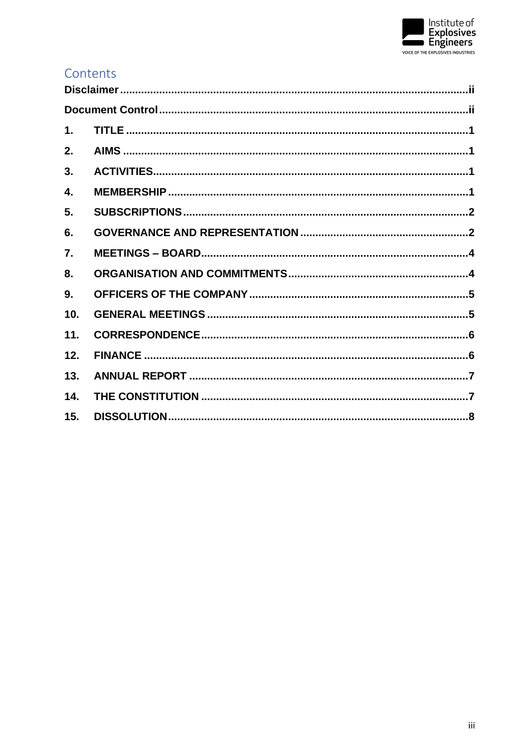

# Contents

| 1.               |  |
|------------------|--|
| 2.               |  |
| 3.               |  |
| 4.               |  |
| 5.               |  |
| 6.               |  |
| $\overline{7}$ . |  |
| 8.               |  |
| 9.               |  |
| 10.              |  |
| 11.              |  |
| 12.              |  |
| 13.              |  |
| 14.              |  |
| 15.              |  |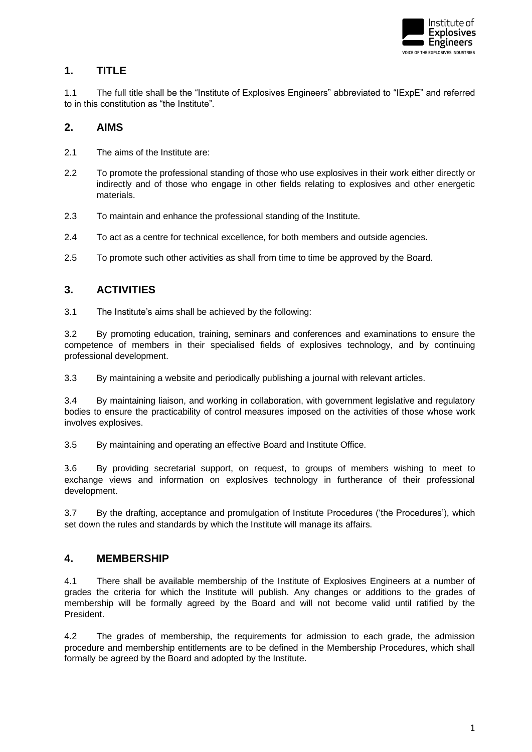

# <span id="page-4-0"></span>**1. TITLE**

1.1 The full title shall be the "Institute of Explosives Engineers" abbreviated to "IExpE" and referred to in this constitution as "the Institute".

### <span id="page-4-1"></span>**2. AIMS**

- 2.1 The aims of the Institute are:
- 2.2 To promote the professional standing of those who use explosives in their work either directly or indirectly and of those who engage in other fields relating to explosives and other energetic materials.
- 2.3 To maintain and enhance the professional standing of the Institute.
- 2.4 To act as a centre for technical excellence, for both members and outside agencies.
- 2.5 To promote such other activities as shall from time to time be approved by the Board.

# <span id="page-4-2"></span>**3. ACTIVITIES**

3.1 The Institute's aims shall be achieved by the following:

3.2 By promoting education, training, seminars and conferences and examinations to ensure the competence of members in their specialised fields of explosives technology, and by continuing professional development.

3.3 By maintaining a website and periodically publishing a journal with relevant articles.

3.4 By maintaining liaison, and working in collaboration, with government legislative and regulatory bodies to ensure the practicability of control measures imposed on the activities of those whose work involves explosives.

3.5 By maintaining and operating an effective Board and Institute Office.

3.6 By providing secretarial support, on request, to groups of members wishing to meet to exchange views and information on explosives technology in furtherance of their professional development.

3.7 By the drafting, acceptance and promulgation of Institute Procedures ('the Procedures'), which set down the rules and standards by which the Institute will manage its affairs.

#### <span id="page-4-3"></span>**4. MEMBERSHIP**

4.1 There shall be available membership of the Institute of Explosives Engineers at a number of grades the criteria for which the Institute will publish. Any changes or additions to the grades of membership will be formally agreed by the Board and will not become valid until ratified by the President.

4.2 The grades of membership, the requirements for admission to each grade, the admission procedure and membership entitlements are to be defined in the Membership Procedures, which shall formally be agreed by the Board and adopted by the Institute.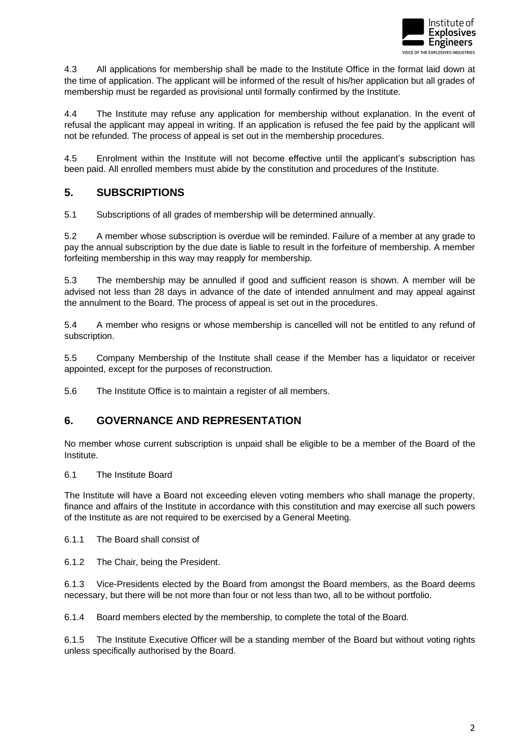

4.3 All applications for membership shall be made to the Institute Office in the format laid down at the time of application. The applicant will be informed of the result of his/her application but all grades of membership must be regarded as provisional until formally confirmed by the Institute.

4.4 The Institute may refuse any application for membership without explanation. In the event of refusal the applicant may appeal in writing. If an application is refused the fee paid by the applicant will not be refunded. The process of appeal is set out in the membership procedures.

4.5 Enrolment within the Institute will not become effective until the applicant's subscription has been paid. All enrolled members must abide by the constitution and procedures of the Institute.

### <span id="page-5-0"></span>**5. SUBSCRIPTIONS**

5.1 Subscriptions of all grades of membership will be determined annually.

5.2 A member whose subscription is overdue will be reminded. Failure of a member at any grade to pay the annual subscription by the due date is liable to result in the forfeiture of membership. A member forfeiting membership in this way may reapply for membership.

5.3 The membership may be annulled if good and sufficient reason is shown. A member will be advised not less than 28 days in advance of the date of intended annulment and may appeal against the annulment to the Board. The process of appeal is set out in the procedures.

5.4 A member who resigns or whose membership is cancelled will not be entitled to any refund of subscription.

5.5 Company Membership of the Institute shall cease if the Member has a liquidator or receiver appointed, except for the purposes of reconstruction.

5.6 The Institute Office is to maintain a register of all members.

# <span id="page-5-1"></span>**6. GOVERNANCE AND REPRESENTATION**

No member whose current subscription is unpaid shall be eligible to be a member of the Board of the Institute.

#### 6.1 The Institute Board

The Institute will have a Board not exceeding eleven voting members who shall manage the property, finance and affairs of the Institute in accordance with this constitution and may exercise all such powers of the Institute as are not required to be exercised by a General Meeting.

6.1.1 The Board shall consist of

6.1.2 The Chair, being the President.

6.1.3 Vice-Presidents elected by the Board from amongst the Board members, as the Board deems necessary, but there will be not more than four or not less than two, all to be without portfolio.

6.1.4 Board members elected by the membership, to complete the total of the Board.

6.1.5 The Institute Executive Officer will be a standing member of the Board but without voting rights unless specifically authorised by the Board.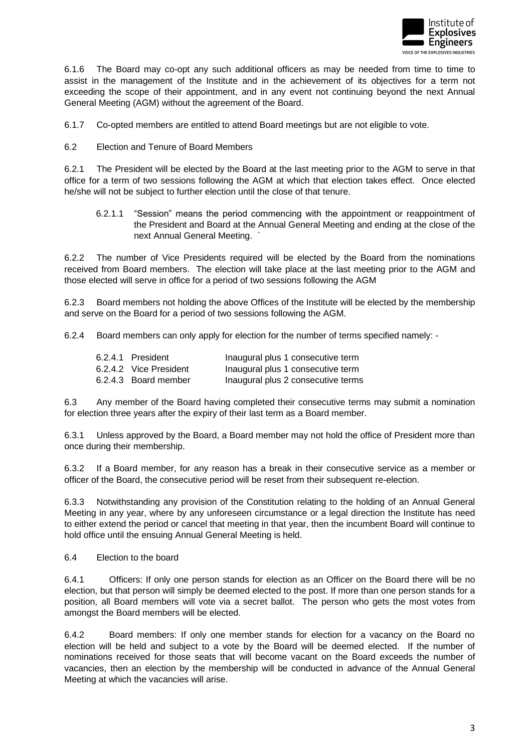

6.1.6 The Board may co-opt any such additional officers as may be needed from time to time to assist in the management of the Institute and in the achievement of its objectives for a term not exceeding the scope of their appointment, and in any event not continuing beyond the next Annual General Meeting (AGM) without the agreement of the Board.

6.1.7 Co-opted members are entitled to attend Board meetings but are not eligible to vote.

6.2 Election and Tenure of Board Members

6.2.1 The President will be elected by the Board at the last meeting prior to the AGM to serve in that office for a term of two sessions following the AGM at which that election takes effect. Once elected he/she will not be subject to further election until the close of that tenure.

6.2.1.1 "Session" means the period commencing with the appointment or reappointment of the President and Board at the Annual General Meeting and ending at the close of the next Annual General Meeting. `

6.2.2 The number of Vice Presidents required will be elected by the Board from the nominations received from Board members. The election will take place at the last meeting prior to the AGM and those elected will serve in office for a period of two sessions following the AGM

6.2.3 Board members not holding the above Offices of the Institute will be elected by the membership and serve on the Board for a period of two sessions following the AGM.

6.2.4 Board members can only apply for election for the number of terms specified namely: -

| 6.2.4.1 President      | Inaugural plus 1 consecutive term  |
|------------------------|------------------------------------|
| 6.2.4.2 Vice President | Inaugural plus 1 consecutive term  |
| 6.2.4.3 Board member   | Inaugural plus 2 consecutive terms |

6.3 Any member of the Board having completed their consecutive terms may submit a nomination for election three years after the expiry of their last term as a Board member.

6.3.1 Unless approved by the Board, a Board member may not hold the office of President more than once during their membership.

6.3.2 If a Board member, for any reason has a break in their consecutive service as a member or officer of the Board, the consecutive period will be reset from their subsequent re-election.

6.3.3 Notwithstanding any provision of the Constitution relating to the holding of an Annual General Meeting in any year, where by any unforeseen circumstance or a legal direction the Institute has need to either extend the period or cancel that meeting in that year, then the incumbent Board will continue to hold office until the ensuing Annual General Meeting is held.

6.4 Election to the board

6.4.1 Officers: If only one person stands for election as an Officer on the Board there will be no election, but that person will simply be deemed elected to the post. If more than one person stands for a position, all Board members will vote via a secret ballot. The person who gets the most votes from amongst the Board members will be elected.

6.4.2 Board members: If only one member stands for election for a vacancy on the Board no election will be held and subject to a vote by the Board will be deemed elected. If the number of nominations received for those seats that will become vacant on the Board exceeds the number of vacancies, then an election by the membership will be conducted in advance of the Annual General Meeting at which the vacancies will arise.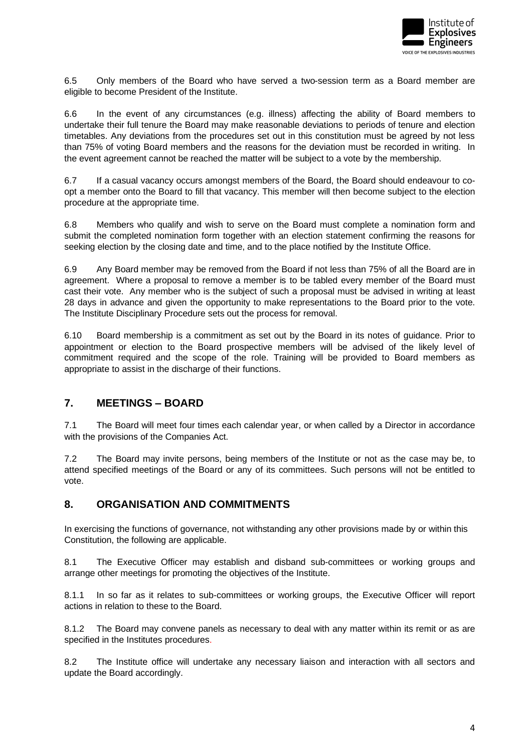

6.5 Only members of the Board who have served a two-session term as a Board member are eligible to become President of the Institute.

6.6 In the event of any circumstances (e.g. illness) affecting the ability of Board members to undertake their full tenure the Board may make reasonable deviations to periods of tenure and election timetables. Any deviations from the procedures set out in this constitution must be agreed by not less than 75% of voting Board members and the reasons for the deviation must be recorded in writing. In the event agreement cannot be reached the matter will be subject to a vote by the membership.

6.7 If a casual vacancy occurs amongst members of the Board, the Board should endeavour to coopt a member onto the Board to fill that vacancy. This member will then become subject to the election procedure at the appropriate time.

6.8 Members who qualify and wish to serve on the Board must complete a nomination form and submit the completed nomination form together with an election statement confirming the reasons for seeking election by the closing date and time, and to the place notified by the Institute Office.

6.9 Any Board member may be removed from the Board if not less than 75% of all the Board are in agreement. Where a proposal to remove a member is to be tabled every member of the Board must cast their vote. Any member who is the subject of such a proposal must be advised in writing at least 28 days in advance and given the opportunity to make representations to the Board prior to the vote. The Institute Disciplinary Procedure sets out the process for removal.

6.10 Board membership is a commitment as set out by the Board in its notes of guidance. Prior to appointment or election to the Board prospective members will be advised of the likely level of commitment required and the scope of the role. Training will be provided to Board members as appropriate to assist in the discharge of their functions.

### <span id="page-7-0"></span>**7. MEETINGS – BOARD**

7.1 The Board will meet four times each calendar year, or when called by a Director in accordance with the provisions of the Companies Act.

7.2 The Board may invite persons, being members of the Institute or not as the case may be, to attend specified meetings of the Board or any of its committees. Such persons will not be entitled to vote.

### <span id="page-7-1"></span>**8. ORGANISATION AND COMMITMENTS**

In exercising the functions of governance, not withstanding any other provisions made by or within this Constitution, the following are applicable.

8.1 The Executive Officer may establish and disband sub-committees or working groups and arrange other meetings for promoting the objectives of the Institute.

8.1.1 In so far as it relates to sub-committees or working groups, the Executive Officer will report actions in relation to these to the Board.

8.1.2 The Board may convene panels as necessary to deal with any matter within its remit or as are specified in the Institutes procedures.

8.2 The Institute office will undertake any necessary liaison and interaction with all sectors and update the Board accordingly.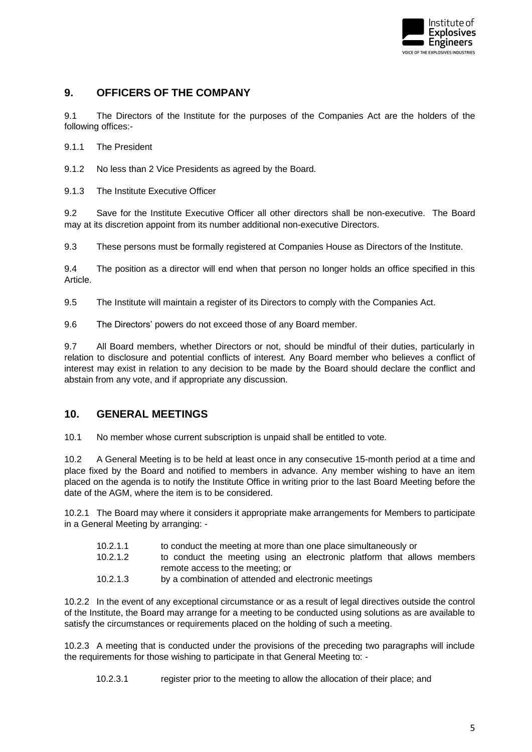

# <span id="page-8-0"></span>**9. OFFICERS OF THE COMPANY**

9.1 The Directors of the Institute for the purposes of the Companies Act are the holders of the following offices:-

9.1.1 The President

9.1.2 No less than 2 Vice Presidents as agreed by the Board.

9.1.3 The Institute Executive Officer

9.2 Save for the Institute Executive Officer all other directors shall be non-executive. The Board may at its discretion appoint from its number additional non-executive Directors.

9.3 These persons must be formally registered at Companies House as Directors of the Institute.

9.4 The position as a director will end when that person no longer holds an office specified in this Article.

9.5 The Institute will maintain a register of its Directors to comply with the Companies Act.

9.6 The Directors' powers do not exceed those of any Board member.

9.7 All Board members, whether Directors or not, should be mindful of their duties, particularly in relation to disclosure and potential conflicts of interest. Any Board member who believes a conflict of interest may exist in relation to any decision to be made by the Board should declare the conflict and abstain from any vote, and if appropriate any discussion.

#### <span id="page-8-1"></span>**10. GENERAL MEETINGS**

10.1 No member whose current subscription is unpaid shall be entitled to vote.

10.2 A General Meeting is to be held at least once in any consecutive 15-month period at a time and place fixed by the Board and notified to members in advance. Any member wishing to have an item placed on the agenda is to notify the Institute Office in writing prior to the last Board Meeting before the date of the AGM, where the item is to be considered.

10.2.1 The Board may where it considers it appropriate make arrangements for Members to participate in a General Meeting by arranging: -

- 10.2.1.1 to conduct the meeting at more than one place simultaneously or
- 10.2.1.2 to conduct the meeting using an electronic platform that allows members remote access to the meeting; or
- 10.2.1.3 by a combination of attended and electronic meetings

10.2.2 In the event of any exceptional circumstance or as a result of legal directives outside the control of the Institute, the Board may arrange for a meeting to be conducted using solutions as are available to satisfy the circumstances or requirements placed on the holding of such a meeting.

10.2.3 A meeting that is conducted under the provisions of the preceding two paragraphs will include the requirements for those wishing to participate in that General Meeting to: -

10.2.3.1 register prior to the meeting to allow the allocation of their place; and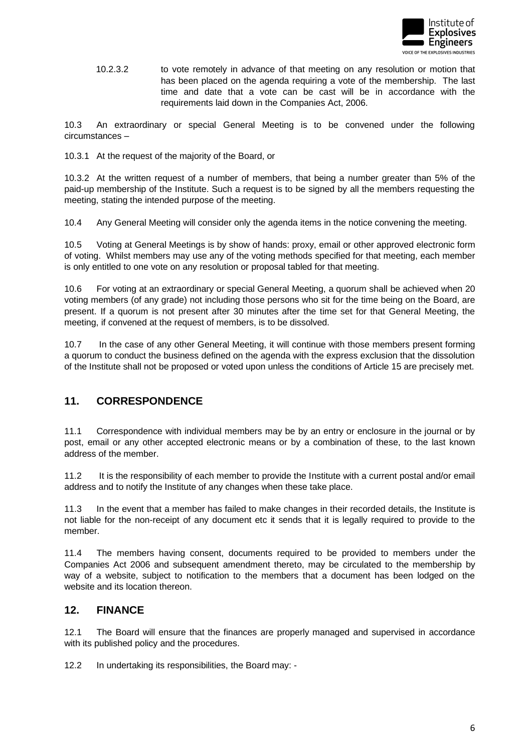

10.2.3.2 to vote remotely in advance of that meeting on any resolution or motion that has been placed on the agenda requiring a vote of the membership. The last time and date that a vote can be cast will be in accordance with the requirements laid down in the Companies Act, 2006.

10.3 An extraordinary or special General Meeting is to be convened under the following circumstances –

10.3.1 At the request of the majority of the Board, or

10.3.2 At the written request of a number of members, that being a number greater than 5% of the paid-up membership of the Institute. Such a request is to be signed by all the members requesting the meeting, stating the intended purpose of the meeting.

10.4 Any General Meeting will consider only the agenda items in the notice convening the meeting.

10.5 Voting at General Meetings is by show of hands: proxy, email or other approved electronic form of voting. Whilst members may use any of the voting methods specified for that meeting, each member is only entitled to one vote on any resolution or proposal tabled for that meeting.

10.6 For voting at an extraordinary or special General Meeting, a quorum shall be achieved when 20 voting members (of any grade) not including those persons who sit for the time being on the Board, are present. If a quorum is not present after 30 minutes after the time set for that General Meeting, the meeting, if convened at the request of members, is to be dissolved.

10.7 In the case of any other General Meeting, it will continue with those members present forming a quorum to conduct the business defined on the agenda with the express exclusion that the dissolution of the Institute shall not be proposed or voted upon unless the conditions of Article 15 are precisely met.

### <span id="page-9-0"></span>**11. CORRESPONDENCE**

11.1 Correspondence with individual members may be by an entry or enclosure in the journal or by post, email or any other accepted electronic means or by a combination of these, to the last known address of the member.

11.2 It is the responsibility of each member to provide the Institute with a current postal and/or email address and to notify the Institute of any changes when these take place.

11.3 In the event that a member has failed to make changes in their recorded details, the Institute is not liable for the non-receipt of any document etc it sends that it is legally required to provide to the member.

11.4 The members having consent, documents required to be provided to members under the Companies Act 2006 and subsequent amendment thereto, may be circulated to the membership by way of a website, subject to notification to the members that a document has been lodged on the website and its location thereon.

#### <span id="page-9-1"></span>**12. FINANCE**

12.1 The Board will ensure that the finances are properly managed and supervised in accordance with its published policy and the procedures.

12.2 In undertaking its responsibilities, the Board may: -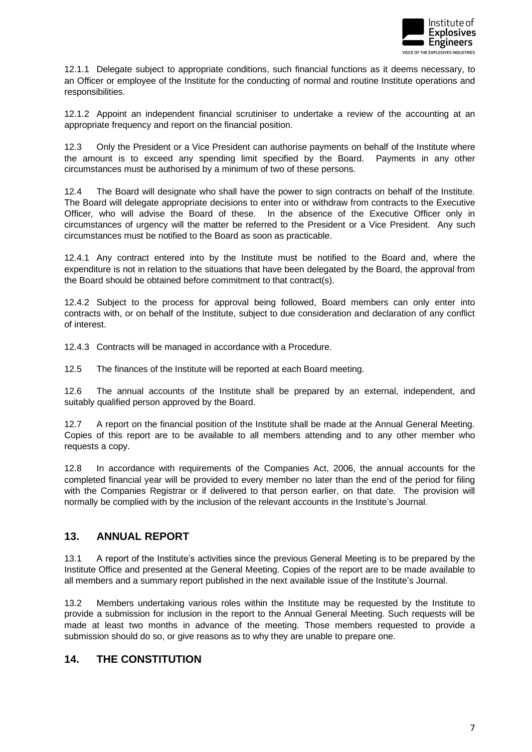

12.1.1 Delegate subject to appropriate conditions, such financial functions as it deems necessary, to an Officer or employee of the Institute for the conducting of normal and routine Institute operations and responsibilities.

12.1.2 Appoint an independent financial scrutiniser to undertake a review of the accounting at an appropriate frequency and report on the financial position.

12.3 Only the President or a Vice President can authorise payments on behalf of the Institute where the amount is to exceed any spending limit specified by the Board. Payments in any other circumstances must be authorised by a minimum of two of these persons.

12.4 The Board will designate who shall have the power to sign contracts on behalf of the Institute. The Board will delegate appropriate decisions to enter into or withdraw from contracts to the Executive Officer, who will advise the Board of these. In the absence of the Executive Officer only in circumstances of urgency will the matter be referred to the President or a Vice President. Any such circumstances must be notified to the Board as soon as practicable.

12.4.1 Any contract entered into by the Institute must be notified to the Board and, where the expenditure is not in relation to the situations that have been delegated by the Board, the approval from the Board should be obtained before commitment to that contract(s).

12.4.2 Subject to the process for approval being followed, Board members can only enter into contracts with, or on behalf of the Institute, subject to due consideration and declaration of any conflict of interest.

12.4.3 Contracts will be managed in accordance with a Procedure.

12.5 The finances of the Institute will be reported at each Board meeting.

12.6 The annual accounts of the Institute shall be prepared by an external, independent, and suitably qualified person approved by the Board.

12.7 A report on the financial position of the Institute shall be made at the Annual General Meeting. Copies of this report are to be available to all members attending and to any other member who requests a copy.

12.8 In accordance with requirements of the Companies Act, 2006, the annual accounts for the completed financial year will be provided to every member no later than the end of the period for filing with the Companies Registrar or if delivered to that person earlier, on that date. The provision will normally be complied with by the inclusion of the relevant accounts in the Institute's Journal.

### <span id="page-10-0"></span>**13. ANNUAL REPORT**

13.1 A report of the Institute's activities since the previous General Meeting is to be prepared by the Institute Office and presented at the General Meeting. Copies of the report are to be made available to all members and a summary report published in the next available issue of the Institute's Journal.

13.2 Members undertaking various roles within the Institute may be requested by the Institute to provide a submission for inclusion in the report to the Annual General Meeting. Such requests will be made at least two months in advance of the meeting. Those members requested to provide a submission should do so, or give reasons as to why they are unable to prepare one.

### <span id="page-10-1"></span>**14. THE CONSTITUTION**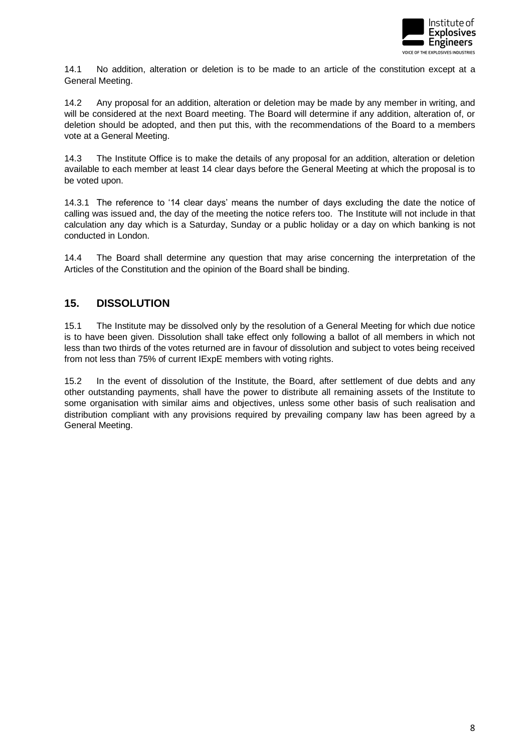

14.1 No addition, alteration or deletion is to be made to an article of the constitution except at a General Meeting.

14.2 Any proposal for an addition, alteration or deletion may be made by any member in writing, and will be considered at the next Board meeting. The Board will determine if any addition, alteration of, or deletion should be adopted, and then put this, with the recommendations of the Board to a members vote at a General Meeting.

14.3 The Institute Office is to make the details of any proposal for an addition, alteration or deletion available to each member at least 14 clear days before the General Meeting at which the proposal is to be voted upon.

14.3.1 The reference to '14 clear days' means the number of days excluding the date the notice of calling was issued and, the day of the meeting the notice refers too. The Institute will not include in that calculation any day which is a Saturday, Sunday or a public holiday or a day on which banking is not conducted in London.

14.4 The Board shall determine any question that may arise concerning the interpretation of the Articles of the Constitution and the opinion of the Board shall be binding.

# <span id="page-11-0"></span>**15. DISSOLUTION**

15.1 The Institute may be dissolved only by the resolution of a General Meeting for which due notice is to have been given. Dissolution shall take effect only following a ballot of all members in which not less than two thirds of the votes returned are in favour of dissolution and subject to votes being received from not less than 75% of current IExpE members with voting rights.

15.2 In the event of dissolution of the Institute, the Board, after settlement of due debts and any other outstanding payments, shall have the power to distribute all remaining assets of the Institute to some organisation with similar aims and objectives, unless some other basis of such realisation and distribution compliant with any provisions required by prevailing company law has been agreed by a General Meeting.